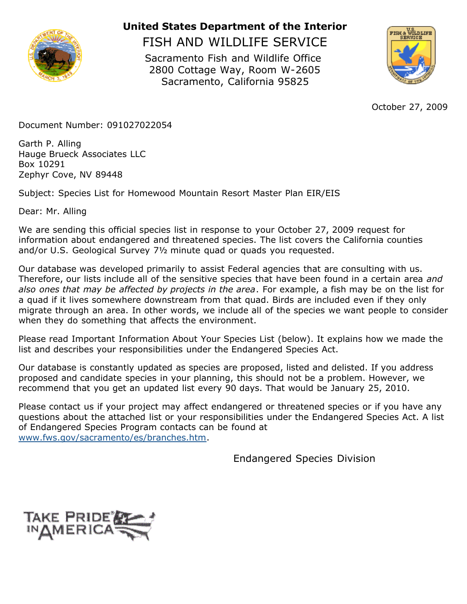

# **United States Department of the Interior**

FISH AND WILDLIFE SERVICE

Sacramento Fish and Wildlife Office 2800 Cottage Way, Room W-2605 Sacramento, California 95825



October 27, 2009

Document Number: 091027022054

Garth P. Alling Hauge Brueck Associates LLC Box 10291 Zephyr Cove, NV 89448

Subject: Species List for Homewood Mountain Resort Master Plan EIR/EIS

Dear: Mr. Alling

We are sending this official species list in response to your October 27, 2009 request for information about endangered and threatened species. The list covers the California counties and/or U.S. Geological Survey 7½ minute quad or quads you requested.

Our database was developed primarily to assist Federal agencies that are consulting with us. Therefore, our lists include all of the sensitive species that have been found in a certain area *and also ones that may be affected by projects in the area*. For example, a fish may be on the list for a quad if it lives somewhere downstream from that quad. Birds are included even if they only migrate through an area. In other words, we include all of the species we want people to consider when they do something that affects the environment.

Please read Important Information About Your Species List (below). It explains how we made the list and describes your responsibilities under the Endangered Species Act.

Our database is constantly updated as species are proposed, listed and delisted. If you address proposed and candidate species in your planning, this should not be a problem. However, we recommend that you get an updated list every 90 days. That would be January 25, 2010.

Please contact us if your project may affect endangered or threatened species or if you have any questions about the attached list or your responsibilities under the Endangered Species Act. A list of Endangered Species Program contacts can be found at [www.fws.gov/sacramento/es/branches.htm.](http://www.fws.gov/sacramento/es/branches.htm)

Endangered Species Division

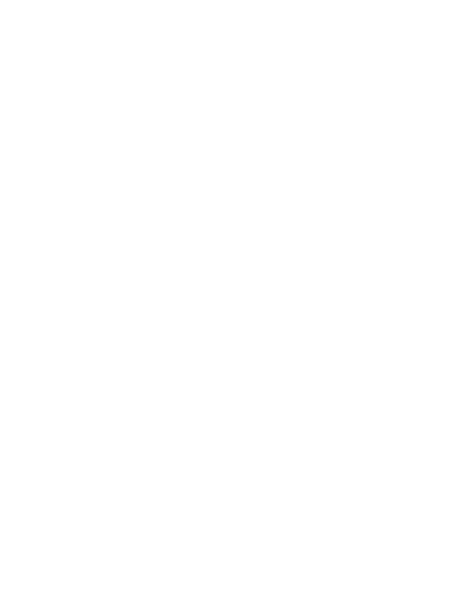United States Department of the Interior

# **FISH AND WILDLIFE SERVICE**

Sacramento Fish and Wildlife Office 2800 Cottage Way, Room W-2605 Sacramento, California 95825

October 27, 2009

Document Number: 091027022054

Garth P. Alling Hauge Brueck Associates LLC Box 10291 Zephyr Cove, NV 89448

Subject: Species List for Homewood Mountain Resort Master Plan EIR/EIS

Dear: Mr. Alling

We are sending this official species list in response to your October 27, 2009 request for information about endangered and threatened species. The list covers the California counties and/or U.S. Geological Survey 7! minute quad or quads you requested.

Our database was developed primarily to assist Federal agencies that are consulting with us. Therefore, our lists include all of the sensitive species that have been found in a certain area and also ones that may be affected by projects in the area . For example, a fish may be on the list for a quad if it lives somewhere downstream from that quad. Birds are included even if they only migrate through an area. In other words, we include all of the species we want people to consider when they do something that affects the environment.

Please read Important Information About Your Species List (below). It explains how we made the list and describes your responsibilities under the Endangered Species Act.

Our database is constantly updated as species are proposed, listed and delisted. If you address proposed and candidate species in your planning, this should not be a problem. However, we recommend that you get an updated list every 90 days. That would be January 25, 2010.

Please contact us if your project may affect endangered or threatened species or if you have any questions about the attached list or your responsibilities under the **Endangered Species Act.** A list of Endangered Species Program contacts can be found at www.fws.gov/sacramento/es/branches.htm

**Endangered Species Division**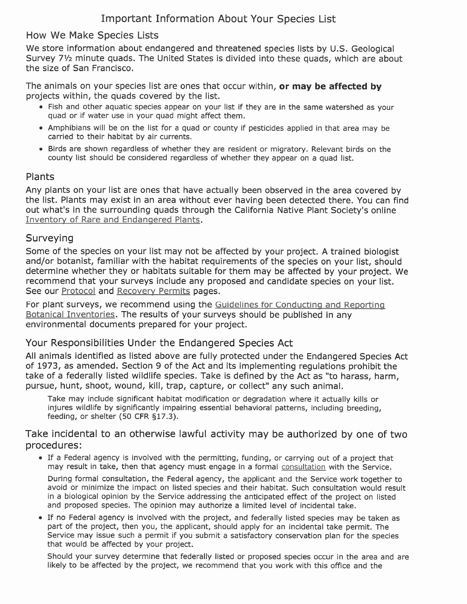# Important Information About Your Species List

#### How We Make Species Lists

We store information about endangered and threatened species lists by U.S. Geological Survey 71/2 minute quads. The United States is divided into these quads, which are about the size of San Francisco.

The animals on your species list are ones that occur within, or may be affected by projects within, the quads covered by the list.

- . Fish and other aquatic species appear on your list if they are in the same watershed as your quad or if water use in your quad might affect them.
- Amphibians will be on the list for a quad or county if pesticides applied in that area may be carried to their habitat by air currents.
- Birds are shown regardless of whether they are resident or migratory. Relevant birds on the county list should be considered regardless of whether they appear on a quad list.

#### Plants

Any plants on your list are ones that have actually been observed in the area covered by the list. Plants may exist in an area without ever having been detected there. You can find out what's in the surrounding quads through the California Native Plant Society's online Inventory of Rare and Endangered Plants.

#### Surveying

Some of the species on your list may not be affected by your project. A trained biologist and/or botanist, familiar with the habitat requirements of the species on your list, should determine whether they or habitats suitable for them may be affected by your project. We recommend that your surveys include any proposed and candidate species on your list. See our Protocol and Recovery Permits pages.

For plant surveys, we recommend using the Guidelines for Conducting and Reporting Botanical Inventories. The results of your surveys should be published in any environmental documents prepared for your project.

#### Your Responsibilities Under the Endangered Species Act

All animals identified as listed above are fully protected under the Endangered Species Act of 1973, as amended. Section 9 of the Act and its implementing regulations prohibit the take of a federally listed wildlife species. Take is defined by the Act as "to harass, harm, pursue, hunt, shoot, wound, kill, trap, capture, or collect" any such animal.

Take may include significant habitat modification or degradation where it actually kills or injures wildlife by significantly impairing essential behavioral patterns, including breeding, feeding, or shelter (50 CFR §17.3).

#### Take incidental to an otherwise lawful activity may be authorized by one of two procedures:

• If a Federal agency is involved with the permitting, funding, or carrying out of a project that may result in take, then that agency must engage in a formal consultation with the Service.

During formal consultation, the Federal agency, the applicant and the Service work together to avoid or minimize the impact on listed species and their habitat. Such consultation would result in a biological opinion by the Service addressing the anticipated effect of the project on listed and proposed species. The opinion may authorize a limited level of incidental take.

• If no Federal agency is involved with the project, and federally listed species may be taken as part of the project, then you, the applicant, should apply for an incidental take permit. The Service may issue such a permit if you submit a satisfactory conservation plan for the species that would be affected by your project.

Should your survey determine that federally listed or proposed species occur in the area and are likely to be affected by the project, we recommend that you work with this office and the